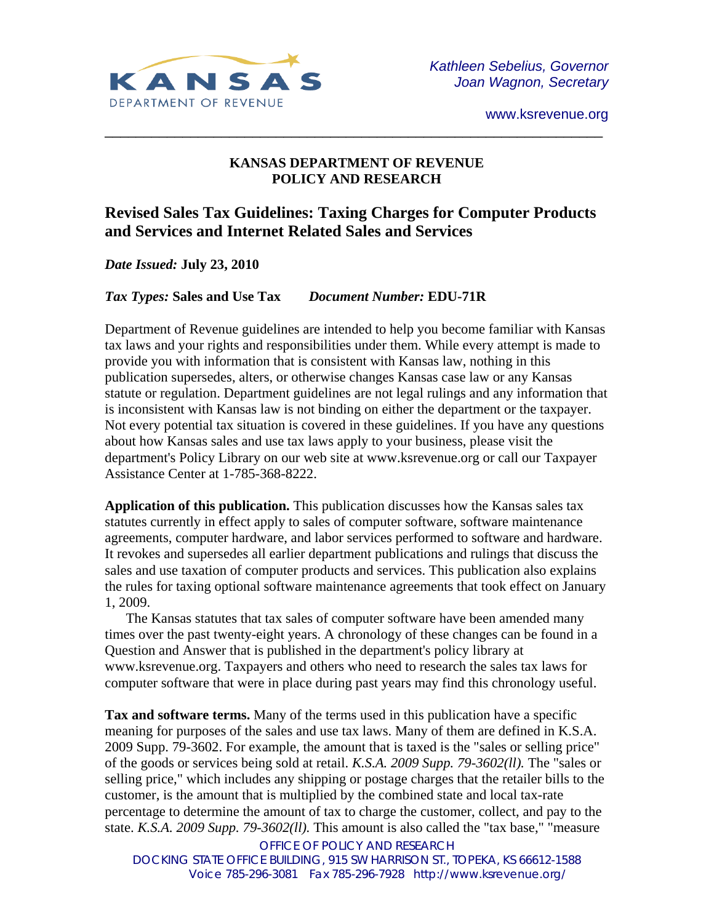

## **KANSAS DEPARTMENT OF REVENUE POLICY AND RESEARCH**

\_\_\_\_\_\_\_\_\_\_\_\_\_\_\_\_\_\_\_\_\_\_\_\_\_\_\_\_\_\_\_\_\_\_\_\_\_\_\_\_\_\_\_\_\_\_\_\_\_\_\_\_\_\_\_\_\_\_\_\_\_\_\_\_

# **Revised Sales Tax Guidelines: Taxing Charges for Computer Products and Services and Internet Related Sales and Services**

*Date Issued:* **July 23, 2010**

*Tax Types:* **Sales and Use Tax** *Document Number:* **EDU-71R** 

Department of Revenue guidelines are intended to help you become familiar with Kansas tax laws and your rights and responsibilities under them. While every attempt is made to provide you with information that is consistent with Kansas law, nothing in this publication supersedes, alters, or otherwise changes Kansas case law or any Kansas statute or regulation. Department guidelines are not legal rulings and any information that is inconsistent with Kansas law is not binding on either the department or the taxpayer. Not every potential tax situation is covered in these guidelines. If you have any questions about how Kansas sales and use tax laws apply to your business, please visit the department's Policy Library on our web site at www.ksrevenue.org or call our Taxpayer Assistance Center at 1-785-368-8222.

**Application of this publication.** This publication discusses how the Kansas sales tax statutes currently in effect apply to sales of computer software, software maintenance agreements, computer hardware, and labor services performed to software and hardware. It revokes and supersedes all earlier department publications and rulings that discuss the sales and use taxation of computer products and services. This publication also explains the rules for taxing optional software maintenance agreements that took effect on January 1, 2009.

The Kansas statutes that tax sales of computer software have been amended many times over the past twenty-eight years. A chronology of these changes can be found in a Question and Answer that is published in the department's policy library at www.ksrevenue.org. Taxpayers and others who need to research the sales tax laws for computer software that were in place during past years may find this chronology useful.

**Tax and software terms.** Many of the terms used in this publication have a specific meaning for purposes of the sales and use tax laws. Many of them are defined in K.S.A. 2009 Supp. 79-3602. For example, the amount that is taxed is the "sales or selling price" of the goods or services being sold at retail. *K.S.A. 2009 Supp. 79-3602(ll).* The "sales or selling price," which includes any shipping or postage charges that the retailer bills to the customer, is the amount that is multiplied by the combined state and local tax-rate percentage to determine the amount of tax to charge the customer, collect, and pay to the state. *K.S.A. 2009 Supp. 79-3602(ll).* This amount is also called the "tax base," "measure

OFFICE OF POLICY AND RESEARCH DOCKING STATE OFFICE BUILDING, 915 SW HARRISON ST., TOPEKA, KS 66612-1588 Voice 785-296-3081 Fax 785-296-7928 http://www.ksrevenue.org/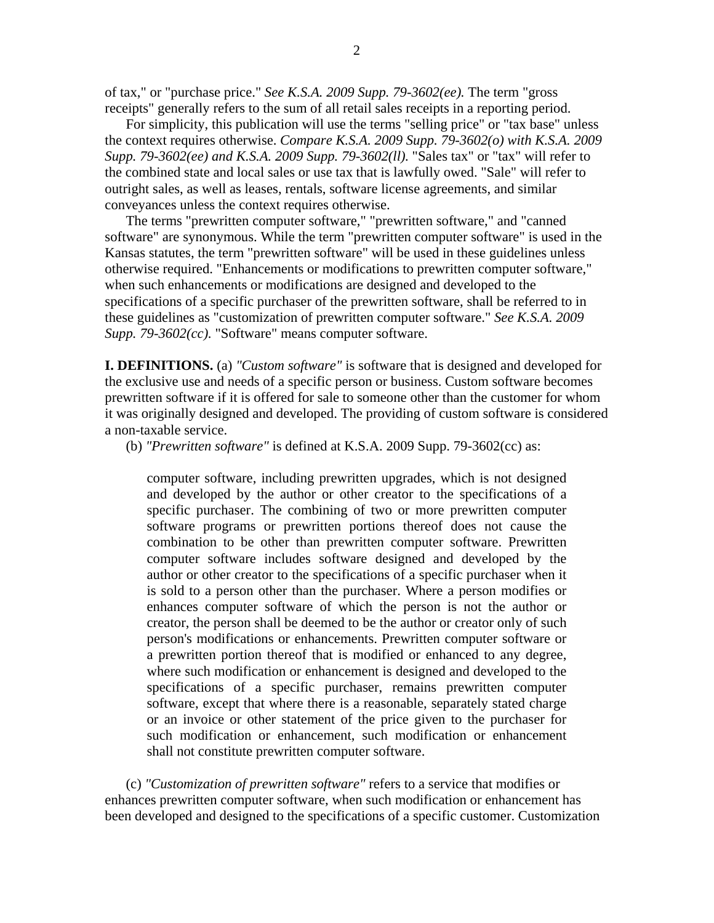of tax," or "purchase price." *See K.S.A. 2009 Supp. 79-3602(ee).* The term "gross receipts" generally refers to the sum of all retail sales receipts in a reporting period.

For simplicity, this publication will use the terms "selling price" or "tax base" unless the context requires otherwise. *Compare K.S.A. 2009 Supp. 79-3602(o) with K.S.A. 2009 Supp. 79-3602(ee) and K.S.A. 2009 Supp. 79-3602(ll).* "Sales tax" or "tax" will refer to the combined state and local sales or use tax that is lawfully owed. "Sale" will refer to outright sales, as well as leases, rentals, software license agreements, and similar conveyances unless the context requires otherwise.

The terms "prewritten computer software," "prewritten software," and "canned software" are synonymous. While the term "prewritten computer software" is used in the Kansas statutes, the term "prewritten software" will be used in these guidelines unless otherwise required. "Enhancements or modifications to prewritten computer software," when such enhancements or modifications are designed and developed to the specifications of a specific purchaser of the prewritten software, shall be referred to in these guidelines as "customization of prewritten computer software." *See K.S.A. 2009 Supp. 79-3602(cc).* "Software" means computer software.

**I. DEFINITIONS.** (a) *"Custom software"* is software that is designed and developed for the exclusive use and needs of a specific person or business. Custom software becomes prewritten software if it is offered for sale to someone other than the customer for whom it was originally designed and developed. The providing of custom software is considered a non-taxable service.

(b) *"Prewritten software"* is defined at K.S.A. 2009 Supp. 79-3602(cc) as:

computer software, including prewritten upgrades, which is not designed and developed by the author or other creator to the specifications of a specific purchaser. The combining of two or more prewritten computer software programs or prewritten portions thereof does not cause the combination to be other than prewritten computer software. Prewritten computer software includes software designed and developed by the author or other creator to the specifications of a specific purchaser when it is sold to a person other than the purchaser. Where a person modifies or enhances computer software of which the person is not the author or creator, the person shall be deemed to be the author or creator only of such person's modifications or enhancements. Prewritten computer software or a prewritten portion thereof that is modified or enhanced to any degree, where such modification or enhancement is designed and developed to the specifications of a specific purchaser, remains prewritten computer software, except that where there is a reasonable, separately stated charge or an invoice or other statement of the price given to the purchaser for such modification or enhancement, such modification or enhancement shall not constitute prewritten computer software.

 (c) *"Customization of prewritten software"* refers to a service that modifies or enhances prewritten computer software, when such modification or enhancement has been developed and designed to the specifications of a specific customer. Customization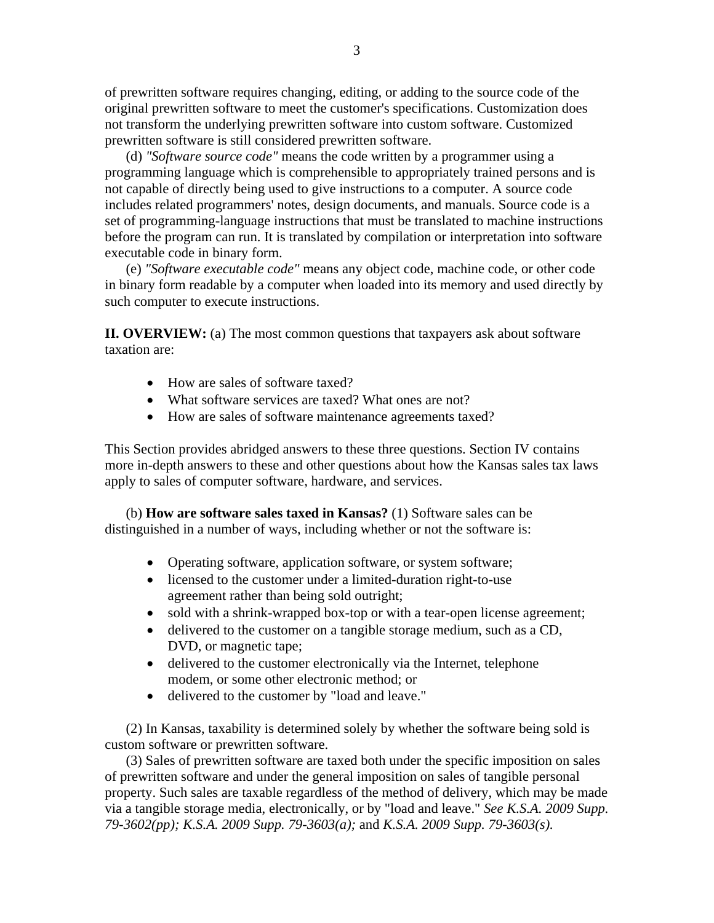of prewritten software requires changing, editing, or adding to the source code of the original prewritten software to meet the customer's specifications. Customization does not transform the underlying prewritten software into custom software. Customized prewritten software is still considered prewritten software.

 (d) *"Software source code"* means the code written by a programmer using a programming language which is comprehensible to appropriately trained persons and is not capable of directly being used to give instructions to a computer. A source code includes related programmers' notes, design documents, and manuals. Source code is a set of programming-language instructions that must be translated to machine instructions before the program can run. It is translated by compilation or interpretation into software executable code in binary form.

 (e) *"Software executable code"* means any object code, machine code, or other code in binary form readable by a computer when loaded into its memory and used directly by such computer to execute instructions.

**II. OVERVIEW:** (a) The most common questions that taxpayers ask about software taxation are:

- How are sales of software taxed?
- What software services are taxed? What ones are not?
- How are sales of software maintenance agreements taxed?

This Section provides abridged answers to these three questions. Section IV contains more in-depth answers to these and other questions about how the Kansas sales tax laws apply to sales of computer software, hardware, and services.

 (b) **How are software sales taxed in Kansas?** (1) Software sales can be distinguished in a number of ways, including whether or not the software is:

- Operating software, application software, or system software;
- licensed to the customer under a limited-duration right-to-use agreement rather than being sold outright;
- sold with a shrink-wrapped box-top or with a tear-open license agreement;
- delivered to the customer on a tangible storage medium, such as a CD, DVD, or magnetic tape;
- delivered to the customer electronically via the Internet, telephone modem, or some other electronic method; or
- delivered to the customer by "load and leave."

(2) In Kansas, taxability is determined solely by whether the software being sold is custom software or prewritten software.

(3) Sales of prewritten software are taxed both under the specific imposition on sales of prewritten software and under the general imposition on sales of tangible personal property. Such sales are taxable regardless of the method of delivery, which may be made via a tangible storage media, electronically, or by "load and leave." *See K.S.A. 2009 Supp. 79-3602(pp); K.S.A. 2009 Supp. 79-3603(a);* and *K.S.A. 2009 Supp. 79-3603(s).*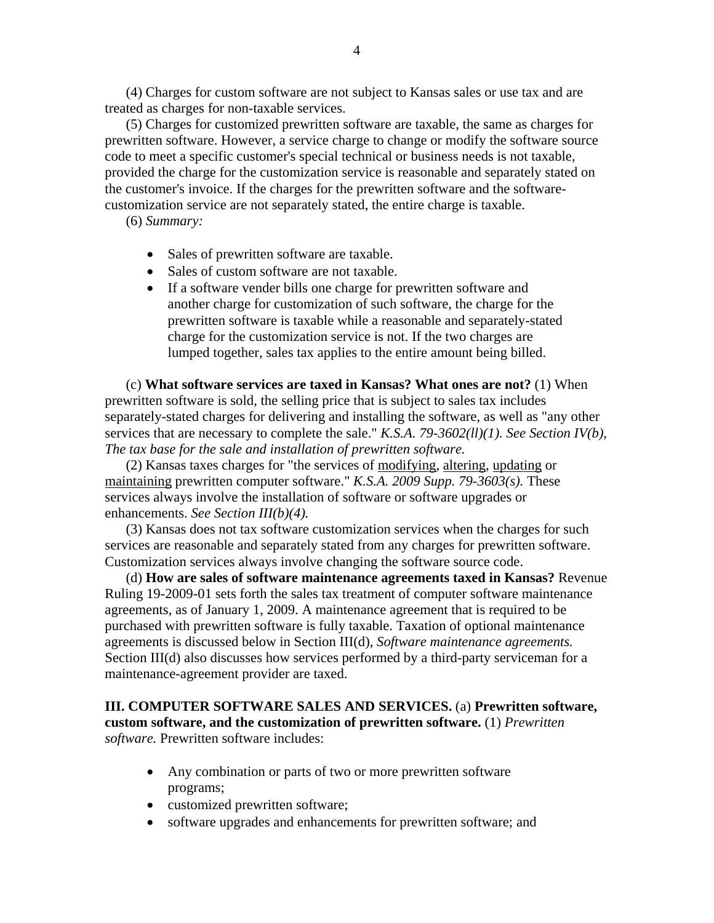(4) Charges for custom software are not subject to Kansas sales or use tax and are treated as charges for non-taxable services.

(5) Charges for customized prewritten software are taxable, the same as charges for prewritten software. However, a service charge to change or modify the software source code to meet a specific customer's special technical or business needs is not taxable, provided the charge for the customization service is reasonable and separately stated on the customer's invoice. If the charges for the prewritten software and the softwarecustomization service are not separately stated, the entire charge is taxable.

(6) *Summary:*

- Sales of prewritten software are taxable.
- Sales of custom software are not taxable.
- If a software vender bills one charge for prewritten software and another charge for customization of such software, the charge for the prewritten software is taxable while a reasonable and separately-stated charge for the customization service is not. If the two charges are lumped together, sales tax applies to the entire amount being billed.

(c) **What software services are taxed in Kansas? What ones are not?** (1) When prewritten software is sold, the selling price that is subject to sales tax includes separately-stated charges for delivering and installing the software, as well as "any other services that are necessary to complete the sale." *K.S.A. 79-3602(ll)(1). See Section IV(b), The tax base for the sale and installation of prewritten software.* 

(2) Kansas taxes charges for "the services of modifying, altering, updating or maintaining prewritten computer software." *K.S.A. 2009 Supp. 79-3603(s).* These services always involve the installation of software or software upgrades or enhancements. *See Section III(b)(4).*

(3) Kansas does not tax software customization services when the charges for such services are reasonable and separately stated from any charges for prewritten software. Customization services always involve changing the software source code.

 (d) **How are sales of software maintenance agreements taxed in Kansas?** Revenue Ruling 19-2009-01 sets forth the sales tax treatment of computer software maintenance agreements, as of January 1, 2009. A maintenance agreement that is required to be purchased with prewritten software is fully taxable. Taxation of optional maintenance agreements is discussed below in Section III(d), *Software maintenance agreements.*  Section III(d) also discusses how services performed by a third-party serviceman for a maintenance-agreement provider are taxed.

## **III. COMPUTER SOFTWARE SALES AND SERVICES.** (a) **Prewritten software, custom software, and the customization of prewritten software.** (1) *Prewritten software.* Prewritten software includes:

- Any combination or parts of two or more prewritten software programs;
- customized prewritten software;
- software upgrades and enhancements for prewritten software; and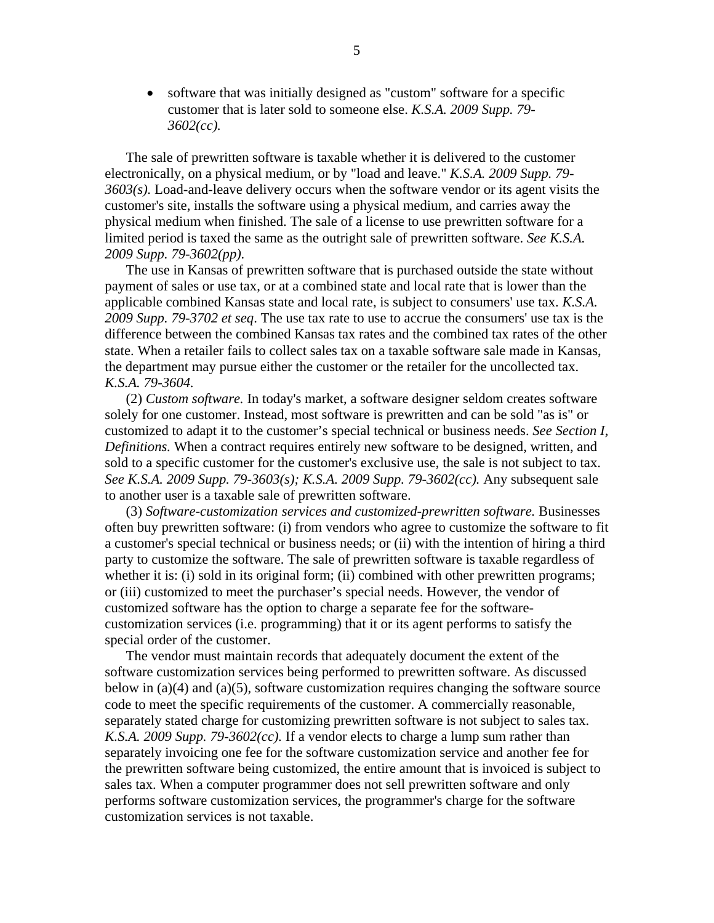• software that was initially designed as "custom" software for a specific customer that is later sold to someone else. *K.S.A. 2009 Supp. 79- 3602(cc).*

The sale of prewritten software is taxable whether it is delivered to the customer electronically, on a physical medium, or by "load and leave." *K.S.A. 2009 Supp. 79- 3603(s).* Load-and-leave delivery occurs when the software vendor or its agent visits the customer's site, installs the software using a physical medium, and carries away the physical medium when finished. The sale of a license to use prewritten software for a limited period is taxed the same as the outright sale of prewritten software. *See K.S.A. 2009 Supp. 79-3602(pp).* 

The use in Kansas of prewritten software that is purchased outside the state without payment of sales or use tax, or at a combined state and local rate that is lower than the applicable combined Kansas state and local rate, is subject to consumers' use tax. *K.S.A. 2009 Supp. 79-3702 et seq*. The use tax rate to use to accrue the consumers' use tax is the difference between the combined Kansas tax rates and the combined tax rates of the other state. When a retailer fails to collect sales tax on a taxable software sale made in Kansas, the department may pursue either the customer or the retailer for the uncollected tax. *K.S.A. 79-3604.*

 (2) *Custom software.* In today's market, a software designer seldom creates software solely for one customer. Instead, most software is prewritten and can be sold "as is" or customized to adapt it to the customer's special technical or business needs. *See Section I, Definitions.* When a contract requires entirely new software to be designed, written, and sold to a specific customer for the customer's exclusive use, the sale is not subject to tax. *See K.S.A. 2009 Supp. 79-3603(s); K.S.A. 2009 Supp. 79-3602(cc).* Any subsequent sale to another user is a taxable sale of prewritten software.

 (3) *Software-customization services and customized-prewritten software.* Businesses often buy prewritten software: (i) from vendors who agree to customize the software to fit a customer's special technical or business needs; or (ii) with the intention of hiring a third party to customize the software. The sale of prewritten software is taxable regardless of whether it is: (i) sold in its original form; (ii) combined with other prewritten programs; or (iii) customized to meet the purchaser's special needs. However, the vendor of customized software has the option to charge a separate fee for the softwarecustomization services (i.e. programming) that it or its agent performs to satisfy the special order of the customer.

 The vendor must maintain records that adequately document the extent of the software customization services being performed to prewritten software. As discussed below in (a)(4) and (a)(5), software customization requires changing the software source code to meet the specific requirements of the customer. A commercially reasonable, separately stated charge for customizing prewritten software is not subject to sales tax. *K.S.A. 2009 Supp. 79-3602(cc).* If a vendor elects to charge a lump sum rather than separately invoicing one fee for the software customization service and another fee for the prewritten software being customized, the entire amount that is invoiced is subject to sales tax. When a computer programmer does not sell prewritten software and only performs software customization services, the programmer's charge for the software customization services is not taxable.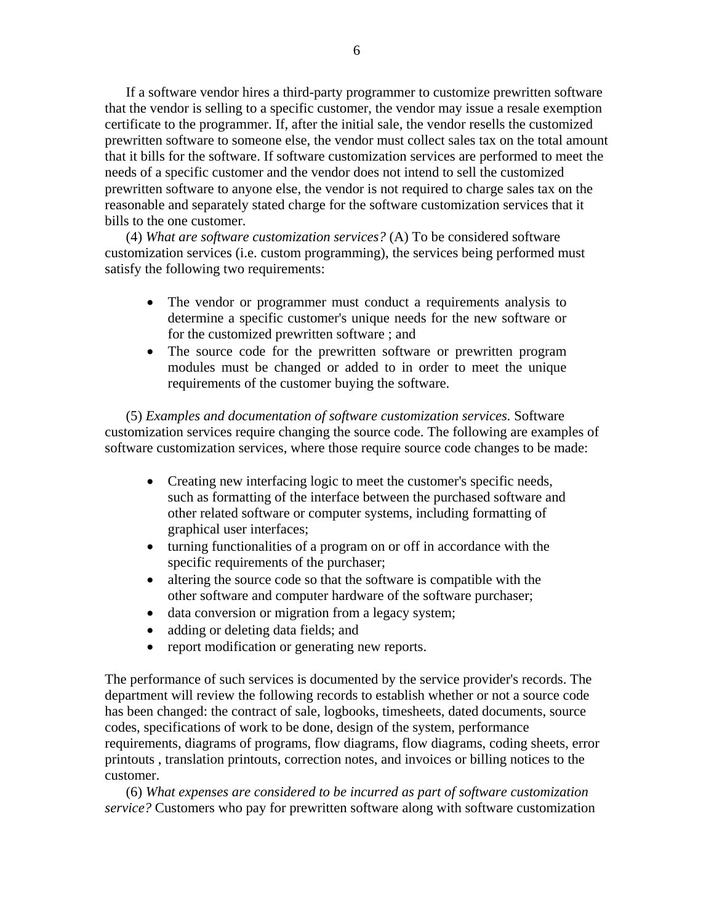If a software vendor hires a third-party programmer to customize prewritten software that the vendor is selling to a specific customer, the vendor may issue a resale exemption certificate to the programmer. If, after the initial sale, the vendor resells the customized prewritten software to someone else, the vendor must collect sales tax on the total amount that it bills for the software. If software customization services are performed to meet the needs of a specific customer and the vendor does not intend to sell the customized prewritten software to anyone else, the vendor is not required to charge sales tax on the reasonable and separately stated charge for the software customization services that it bills to the one customer.

 (4) *What are software customization services?* (A) To be considered software customization services (i.e. custom programming), the services being performed must satisfy the following two requirements:

- The vendor or programmer must conduct a requirements analysis to determine a specific customer's unique needs for the new software or for the customized prewritten software ; and
- The source code for the prewritten software or prewritten program modules must be changed or added to in order to meet the unique requirements of the customer buying the software.

 (5) *Examples and documentation of software customization services.* Software customization services require changing the source code. The following are examples of software customization services, where those require source code changes to be made:

- Creating new interfacing logic to meet the customer's specific needs, such as formatting of the interface between the purchased software and other related software or computer systems, including formatting of graphical user interfaces;
- turning functionalities of a program on or off in accordance with the specific requirements of the purchaser;
- altering the source code so that the software is compatible with the other software and computer hardware of the software purchaser;
- data conversion or migration from a legacy system;
- adding or deleting data fields; and
- report modification or generating new reports.

The performance of such services is documented by the service provider's records. The department will review the following records to establish whether or not a source code has been changed: the contract of sale, logbooks, timesheets, dated documents, source codes, specifications of work to be done, design of the system, performance requirements, diagrams of programs, flow diagrams, flow diagrams, coding sheets, error printouts , translation printouts, correction notes, and invoices or billing notices to the customer.

 (6) *What expenses are considered to be incurred as part of software customization service?* Customers who pay for prewritten software along with software customization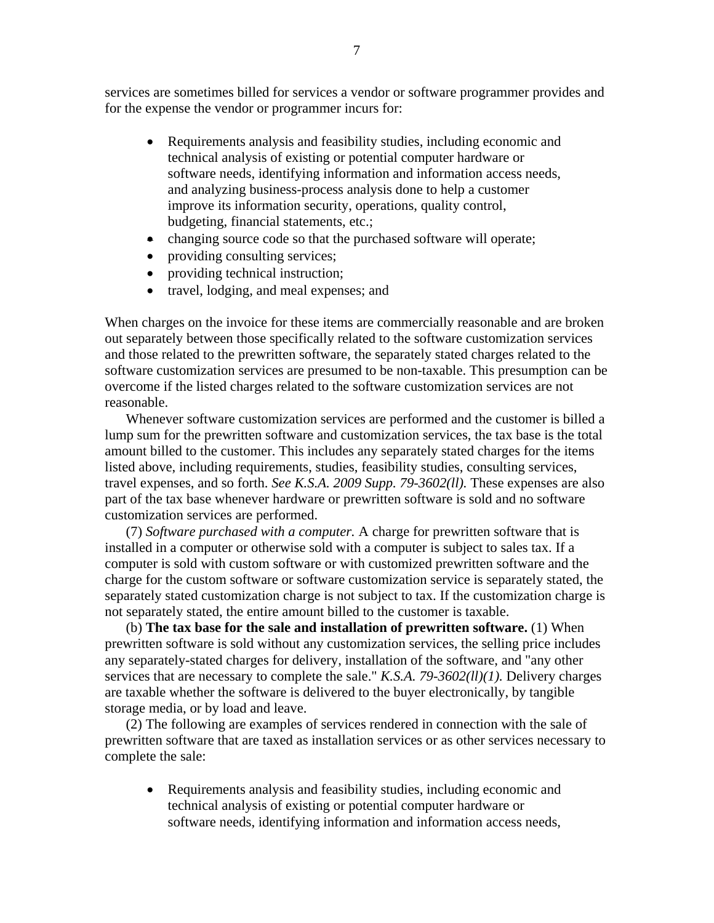services are sometimes billed for services a vendor or software programmer provides and for the expense the vendor or programmer incurs for:

- Requirements analysis and feasibility studies, including economic and technical analysis of existing or potential computer hardware or software needs, identifying information and information access needs, and analyzing business-process analysis done to help a customer improve its information security, operations, quality control, budgeting, financial statements, etc.;
- changing source code so that the purchased software will operate;
- providing consulting services;
- providing technical instruction;
- travel, lodging, and meal expenses; and

When charges on the invoice for these items are commercially reasonable and are broken out separately between those specifically related to the software customization services and those related to the prewritten software, the separately stated charges related to the software customization services are presumed to be non-taxable. This presumption can be overcome if the listed charges related to the software customization services are not reasonable.

Whenever software customization services are performed and the customer is billed a lump sum for the prewritten software and customization services, the tax base is the total amount billed to the customer. This includes any separately stated charges for the items listed above, including requirements, studies, feasibility studies, consulting services, travel expenses, and so forth. *See K.S.A. 2009 Supp. 79-3602(ll).* These expenses are also part of the tax base whenever hardware or prewritten software is sold and no software customization services are performed.

 (7) *Software purchased with a computer.* A charge for prewritten software that is installed in a computer or otherwise sold with a computer is subject to sales tax. If a computer is sold with custom software or with customized prewritten software and the charge for the custom software or software customization service is separately stated, the separately stated customization charge is not subject to tax. If the customization charge is not separately stated, the entire amount billed to the customer is taxable.

 (b) **The tax base for the sale and installation of prewritten software.** (1) When prewritten software is sold without any customization services, the selling price includes any separately-stated charges for delivery, installation of the software, and "any other services that are necessary to complete the sale." *K.S.A. 79-3602(ll)(1).* Delivery charges are taxable whether the software is delivered to the buyer electronically, by tangible storage media, or by load and leave.

(2) The following are examples of services rendered in connection with the sale of prewritten software that are taxed as installation services or as other services necessary to complete the sale:

• Requirements analysis and feasibility studies, including economic and technical analysis of existing or potential computer hardware or software needs, identifying information and information access needs,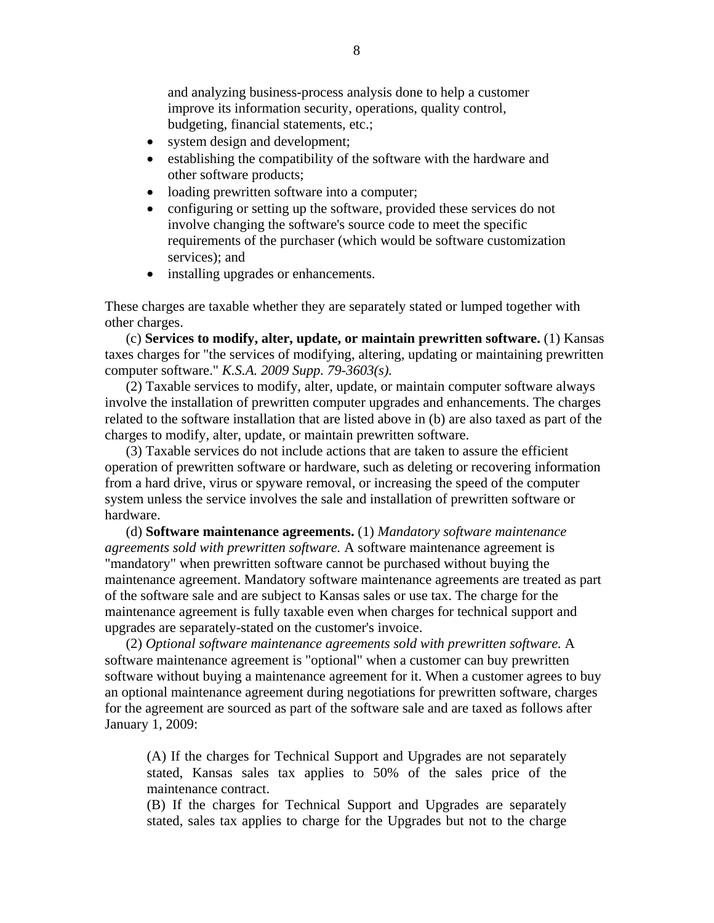and analyzing business-process analysis done to help a customer improve its information security, operations, quality control, budgeting, financial statements, etc.;

- system design and development;
- establishing the compatibility of the software with the hardware and other software products;
- loading prewritten software into a computer;
- configuring or setting up the software, provided these services do not involve changing the software's source code to meet the specific requirements of the purchaser (which would be software customization services); and
- installing upgrades or enhancements.

These charges are taxable whether they are separately stated or lumped together with other charges.

 (c) **Services to modify, alter, update, or maintain prewritten software.** (1) Kansas taxes charges for "the services of modifying, altering, updating or maintaining prewritten computer software." *K.S.A. 2009 Supp. 79-3603(s).* 

(2) Taxable services to modify, alter, update, or maintain computer software always involve the installation of prewritten computer upgrades and enhancements. The charges related to the software installation that are listed above in (b) are also taxed as part of the charges to modify, alter, update, or maintain prewritten software.

(3) Taxable services do not include actions that are taken to assure the efficient operation of prewritten software or hardware, such as deleting or recovering information from a hard drive, virus or spyware removal, or increasing the speed of the computer system unless the service involves the sale and installation of prewritten software or hardware.

 (d) **Software maintenance agreements.** (1) *Mandatory software maintenance agreements sold with prewritten software.* A software maintenance agreement is "mandatory" when prewritten software cannot be purchased without buying the maintenance agreement. Mandatory software maintenance agreements are treated as part of the software sale and are subject to Kansas sales or use tax. The charge for the maintenance agreement is fully taxable even when charges for technical support and upgrades are separately-stated on the customer's invoice.

 (2) *Optional software maintenance agreements sold with prewritten software.* A software maintenance agreement is "optional" when a customer can buy prewritten software without buying a maintenance agreement for it. When a customer agrees to buy an optional maintenance agreement during negotiations for prewritten software, charges for the agreement are sourced as part of the software sale and are taxed as follows after January 1, 2009:

(A) If the charges for Technical Support and Upgrades are not separately stated, Kansas sales tax applies to 50% of the sales price of the maintenance contract.

(B) If the charges for Technical Support and Upgrades are separately stated, sales tax applies to charge for the Upgrades but not to the charge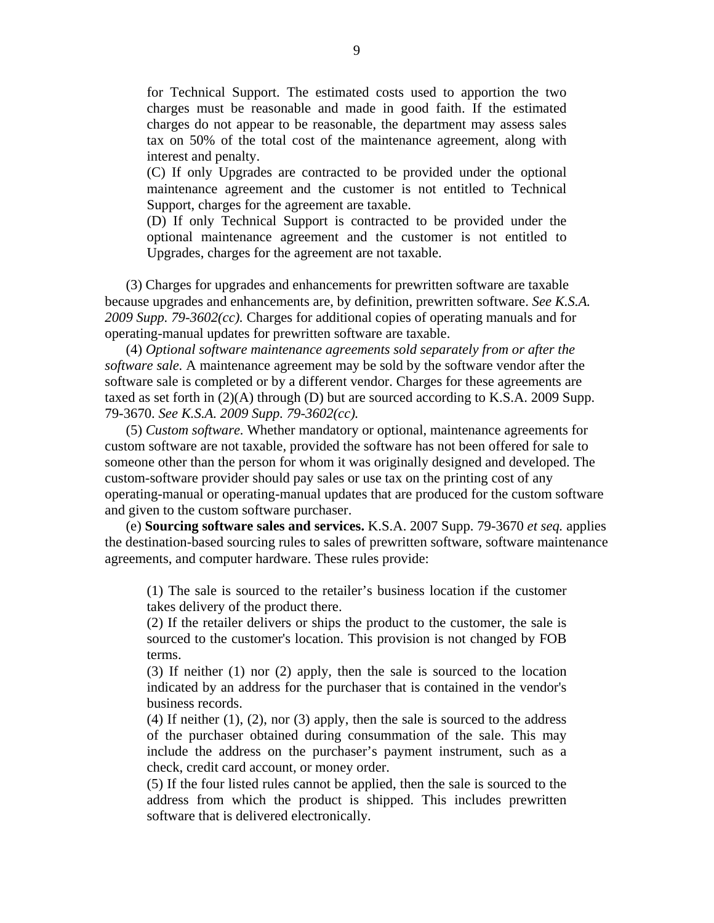for Technical Support. The estimated costs used to apportion the two charges must be reasonable and made in good faith. If the estimated charges do not appear to be reasonable, the department may assess sales tax on 50% of the total cost of the maintenance agreement, along with interest and penalty.

(C) If only Upgrades are contracted to be provided under the optional maintenance agreement and the customer is not entitled to Technical Support, charges for the agreement are taxable.

(D) If only Technical Support is contracted to be provided under the optional maintenance agreement and the customer is not entitled to Upgrades, charges for the agreement are not taxable.

(3) Charges for upgrades and enhancements for prewritten software are taxable because upgrades and enhancements are, by definition, prewritten software. *See K.S.A. 2009 Supp. 79-3602(cc).* Charges for additional copies of operating manuals and for operating-manual updates for prewritten software are taxable.

 (4) *Optional software maintenance agreements sold separately from or after the software sale.* A maintenance agreement may be sold by the software vendor after the software sale is completed or by a different vendor. Charges for these agreements are taxed as set forth in (2)(A) through (D) but are sourced according to K.S.A. 2009 Supp. 79-3670. *See K.S.A. 2009 Supp. 79-3602(cc).*

 (5) *Custom software.* Whether mandatory or optional, maintenance agreements for custom software are not taxable, provided the software has not been offered for sale to someone other than the person for whom it was originally designed and developed. The custom-software provider should pay sales or use tax on the printing cost of any operating-manual or operating-manual updates that are produced for the custom software and given to the custom software purchaser.

 (e) **Sourcing software sales and services.** K.S.A. 2007 Supp. 79-3670 *et seq.* applies the destination-based sourcing rules to sales of prewritten software, software maintenance agreements, and computer hardware. These rules provide:

(1) The sale is sourced to the retailer's business location if the customer takes delivery of the product there.

(2) If the retailer delivers or ships the product to the customer, the sale is sourced to the customer's location. This provision is not changed by FOB terms.

(3) If neither (1) nor (2) apply, then the sale is sourced to the location indicated by an address for the purchaser that is contained in the vendor's business records.

 $(4)$  If neither  $(1)$ ,  $(2)$ , nor  $(3)$  apply, then the sale is sourced to the address of the purchaser obtained during consummation of the sale. This may include the address on the purchaser's payment instrument, such as a check, credit card account, or money order.

(5) If the four listed rules cannot be applied, then the sale is sourced to the address from which the product is shipped. This includes prewritten software that is delivered electronically.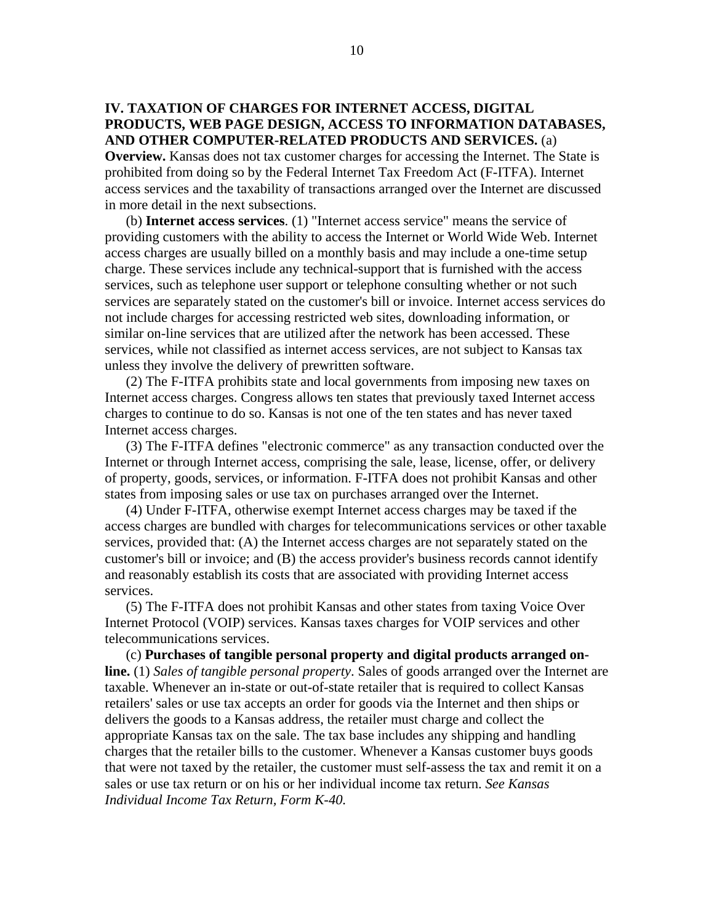## **IV. TAXATION OF CHARGES FOR INTERNET ACCESS, DIGITAL PRODUCTS, WEB PAGE DESIGN, ACCESS TO INFORMATION DATABASES, AND OTHER COMPUTER-RELATED PRODUCTS AND SERVICES.** (a)

**Overview.** Kansas does not tax customer charges for accessing the Internet. The State is prohibited from doing so by the Federal Internet Tax Freedom Act (F-ITFA). Internet access services and the taxability of transactions arranged over the Internet are discussed in more detail in the next subsections.

 (b) **Internet access services**. (1) "Internet access service" means the service of providing customers with the ability to access the Internet or World Wide Web. Internet access charges are usually billed on a monthly basis and may include a one-time setup charge. These services include any technical-support that is furnished with the access services, such as telephone user support or telephone consulting whether or not such services are separately stated on the customer's bill or invoice. Internet access services do not include charges for accessing restricted web sites, downloading information, or similar on-line services that are utilized after the network has been accessed. These services, while not classified as internet access services, are not subject to Kansas tax unless they involve the delivery of prewritten software.

(2) The F-ITFA prohibits state and local governments from imposing new taxes on Internet access charges. Congress allows ten states that previously taxed Internet access charges to continue to do so. Kansas is not one of the ten states and has never taxed Internet access charges.

(3) The F-ITFA defines "electronic commerce" as any transaction conducted over the Internet or through Internet access, comprising the sale, lease, license, offer, or delivery of property, goods, services, or information. F-ITFA does not prohibit Kansas and other states from imposing sales or use tax on purchases arranged over the Internet.

(4) Under F-ITFA, otherwise exempt Internet access charges may be taxed if the access charges are bundled with charges for telecommunications services or other taxable services, provided that: (A) the Internet access charges are not separately stated on the customer's bill or invoice; and (B) the access provider's business records cannot identify and reasonably establish its costs that are associated with providing Internet access services.

(5) The F-ITFA does not prohibit Kansas and other states from taxing Voice Over Internet Protocol (VOIP) services. Kansas taxes charges for VOIP services and other telecommunications services.

(c) **Purchases of tangible personal property and digital products arranged online.** (1) *Sales of tangible personal property*. Sales of goods arranged over the Internet are taxable. Whenever an in-state or out-of-state retailer that is required to collect Kansas retailers' sales or use tax accepts an order for goods via the Internet and then ships or delivers the goods to a Kansas address, the retailer must charge and collect the appropriate Kansas tax on the sale. The tax base includes any shipping and handling charges that the retailer bills to the customer. Whenever a Kansas customer buys goods that were not taxed by the retailer, the customer must self-assess the tax and remit it on a sales or use tax return or on his or her individual income tax return. *See Kansas Individual Income Tax Return, Form K-40.*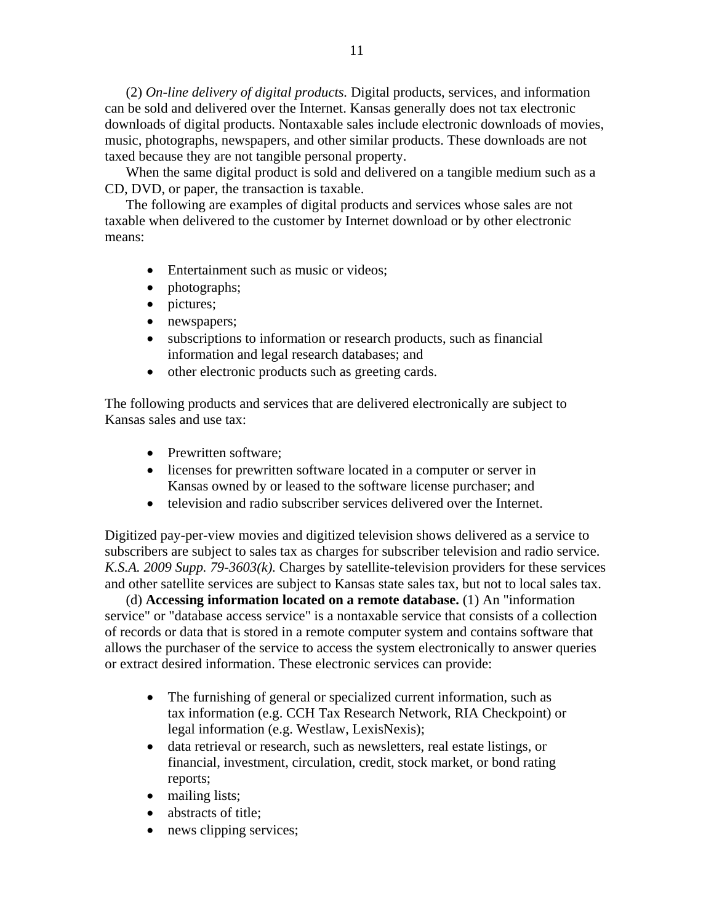(2) *On-line delivery of digital products.* Digital products, services, and information can be sold and delivered over the Internet. Kansas generally does not tax electronic downloads of digital products. Nontaxable sales include electronic downloads of movies, music, photographs, newspapers, and other similar products. These downloads are not taxed because they are not tangible personal property.

When the same digital product is sold and delivered on a tangible medium such as a CD, DVD, or paper, the transaction is taxable.

The following are examples of digital products and services whose sales are not taxable when delivered to the customer by Internet download or by other electronic means:

- Entertainment such as music or videos;
- photographs;
- pictures;
- newspapers;
- subscriptions to information or research products, such as financial information and legal research databases; and
- other electronic products such as greeting cards.

The following products and services that are delivered electronically are subject to Kansas sales and use tax:

- Prewritten software;
- licenses for prewritten software located in a computer or server in Kansas owned by or leased to the software license purchaser; and
- television and radio subscriber services delivered over the Internet.

Digitized pay-per-view movies and digitized television shows delivered as a service to subscribers are subject to sales tax as charges for subscriber television and radio service. *K.S.A. 2009 Supp. 79-3603(k).* Charges by satellite-television providers for these services and other satellite services are subject to Kansas state sales tax, but not to local sales tax.

 (d) **Accessing information located on a remote database.** (1) An "information service" or "database access service" is a nontaxable service that consists of a collection of records or data that is stored in a remote computer system and contains software that allows the purchaser of the service to access the system electronically to answer queries or extract desired information. These electronic services can provide:

- The furnishing of general or specialized current information, such as tax information (e.g. CCH Tax Research Network, RIA Checkpoint) or legal information (e.g. Westlaw, LexisNexis);
- data retrieval or research, such as newsletters, real estate listings, or financial, investment, circulation, credit, stock market, or bond rating reports;
- mailing lists;
- abstracts of title;
- news clipping services;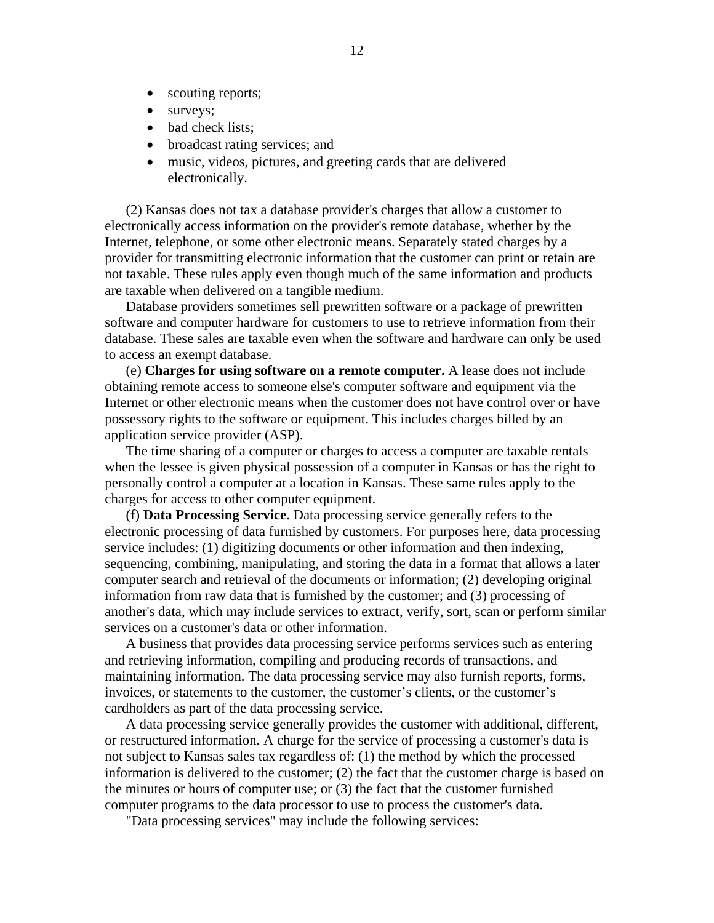- scouting reports;
- surveys;
- bad check lists:
- broadcast rating services; and
- music, videos, pictures, and greeting cards that are delivered electronically.

(2) Kansas does not tax a database provider's charges that allow a customer to electronically access information on the provider's remote database, whether by the Internet, telephone, or some other electronic means. Separately stated charges by a provider for transmitting electronic information that the customer can print or retain are not taxable. These rules apply even though much of the same information and products are taxable when delivered on a tangible medium.

Database providers sometimes sell prewritten software or a package of prewritten software and computer hardware for customers to use to retrieve information from their database. These sales are taxable even when the software and hardware can only be used to access an exempt database.

 (e) **Charges for using software on a remote computer.** A lease does not include obtaining remote access to someone else's computer software and equipment via the Internet or other electronic means when the customer does not have control over or have possessory rights to the software or equipment. This includes charges billed by an application service provider (ASP).

The time sharing of a computer or charges to access a computer are taxable rentals when the lessee is given physical possession of a computer in Kansas or has the right to personally control a computer at a location in Kansas. These same rules apply to the charges for access to other computer equipment.

 (f) **Data Processing Service**. Data processing service generally refers to the electronic processing of data furnished by customers. For purposes here, data processing service includes: (1) digitizing documents or other information and then indexing, sequencing, combining, manipulating, and storing the data in a format that allows a later computer search and retrieval of the documents or information; (2) developing original information from raw data that is furnished by the customer; and (3) processing of another's data, which may include services to extract, verify, sort, scan or perform similar services on a customer's data or other information.

A business that provides data processing service performs services such as entering and retrieving information, compiling and producing records of transactions, and maintaining information. The data processing service may also furnish reports, forms, invoices, or statements to the customer, the customer's clients, or the customer's cardholders as part of the data processing service.

A data processing service generally provides the customer with additional, different, or restructured information. A charge for the service of processing a customer's data is not subject to Kansas sales tax regardless of: (1) the method by which the processed information is delivered to the customer; (2) the fact that the customer charge is based on the minutes or hours of computer use; or (3) the fact that the customer furnished computer programs to the data processor to use to process the customer's data.

"Data processing services" may include the following services: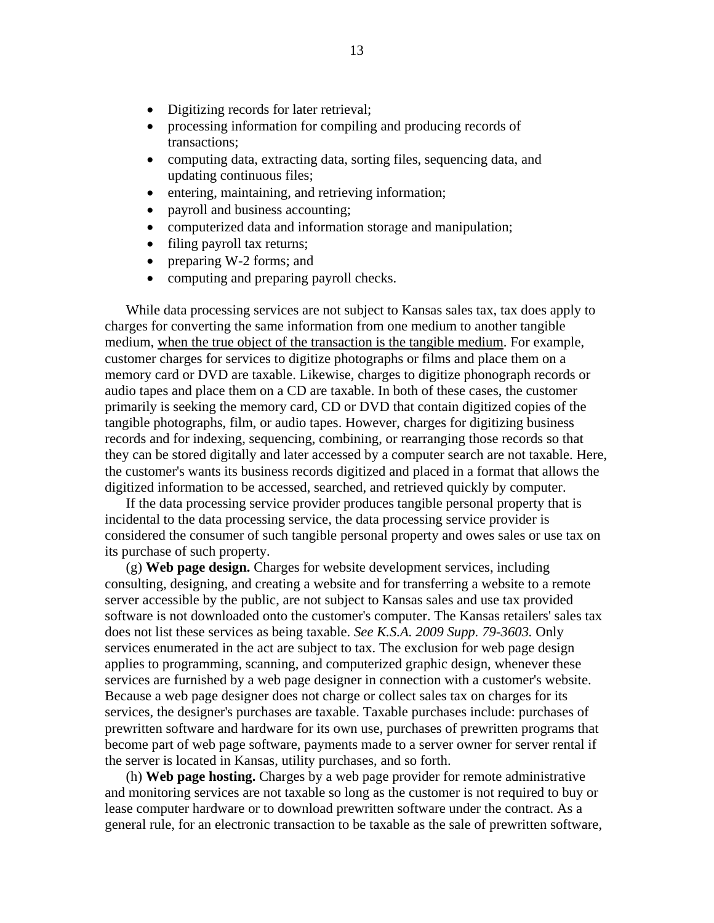- Digitizing records for later retrieval;
- processing information for compiling and producing records of transactions;
- computing data, extracting data, sorting files, sequencing data, and updating continuous files;
- entering, maintaining, and retrieving information;
- payroll and business accounting;
- computerized data and information storage and manipulation;
- filing payroll tax returns;
- preparing W-2 forms; and
- computing and preparing payroll checks.

While data processing services are not subject to Kansas sales tax, tax does apply to charges for converting the same information from one medium to another tangible medium, when the true object of the transaction is the tangible medium. For example, customer charges for services to digitize photographs or films and place them on a memory card or DVD are taxable. Likewise, charges to digitize phonograph records or audio tapes and place them on a CD are taxable. In both of these cases, the customer primarily is seeking the memory card, CD or DVD that contain digitized copies of the tangible photographs, film, or audio tapes. However, charges for digitizing business records and for indexing, sequencing, combining, or rearranging those records so that they can be stored digitally and later accessed by a computer search are not taxable. Here, the customer's wants its business records digitized and placed in a format that allows the digitized information to be accessed, searched, and retrieved quickly by computer.

If the data processing service provider produces tangible personal property that is incidental to the data processing service, the data processing service provider is considered the consumer of such tangible personal property and owes sales or use tax on its purchase of such property.

 (g) **Web page design.** Charges for website development services, including consulting, designing, and creating a website and for transferring a website to a remote server accessible by the public, are not subject to Kansas sales and use tax provided software is not downloaded onto the customer's computer. The Kansas retailers' sales tax does not list these services as being taxable. *See K.S.A. 2009 Supp. 79-3603.* Only services enumerated in the act are subject to tax. The exclusion for web page design applies to programming, scanning, and computerized graphic design, whenever these services are furnished by a web page designer in connection with a customer's website. Because a web page designer does not charge or collect sales tax on charges for its services, the designer's purchases are taxable. Taxable purchases include: purchases of prewritten software and hardware for its own use, purchases of prewritten programs that become part of web page software, payments made to a server owner for server rental if the server is located in Kansas, utility purchases, and so forth.

 (h) **Web page hosting.** Charges by a web page provider for remote administrative and monitoring services are not taxable so long as the customer is not required to buy or lease computer hardware or to download prewritten software under the contract. As a general rule, for an electronic transaction to be taxable as the sale of prewritten software,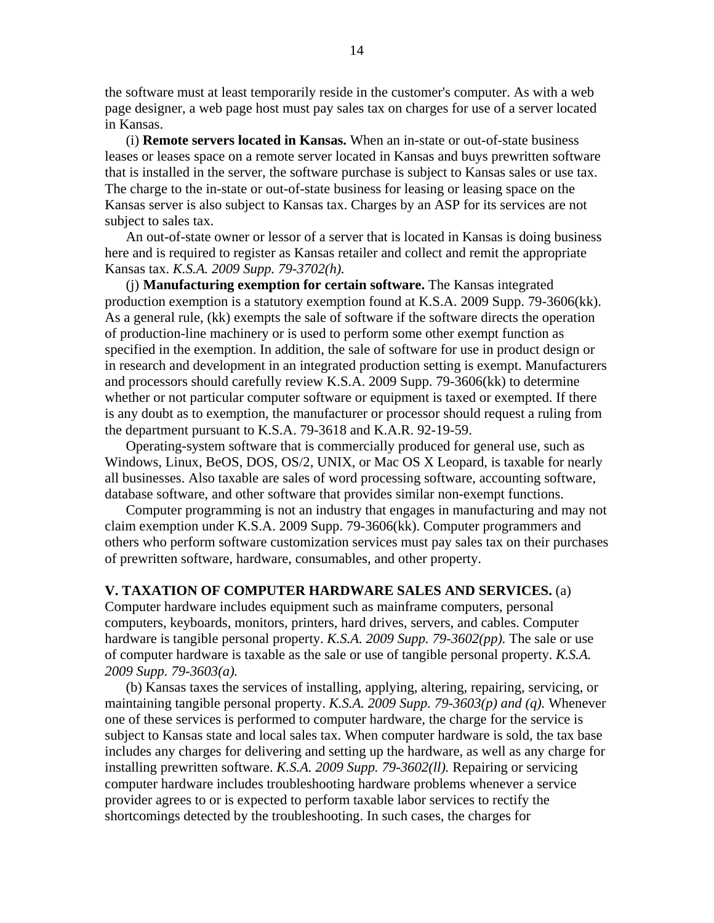the software must at least temporarily reside in the customer's computer. As with a web page designer, a web page host must pay sales tax on charges for use of a server located in Kansas.

 (i) **Remote servers located in Kansas.** When an in-state or out-of-state business leases or leases space on a remote server located in Kansas and buys prewritten software that is installed in the server, the software purchase is subject to Kansas sales or use tax. The charge to the in-state or out-of-state business for leasing or leasing space on the Kansas server is also subject to Kansas tax. Charges by an ASP for its services are not subject to sales tax.

An out-of-state owner or lessor of a server that is located in Kansas is doing business here and is required to register as Kansas retailer and collect and remit the appropriate Kansas tax. *K.S.A. 2009 Supp. 79-3702(h).* 

(j) **Manufacturing exemption for certain software.** The Kansas integrated production exemption is a statutory exemption found at K.S.A. 2009 Supp. 79-3606(kk). As a general rule, (kk) exempts the sale of software if the software directs the operation of production-line machinery or is used to perform some other exempt function as specified in the exemption. In addition, the sale of software for use in product design or in research and development in an integrated production setting is exempt. Manufacturers and processors should carefully review K.S.A. 2009 Supp. 79-3606(kk) to determine whether or not particular computer software or equipment is taxed or exempted. If there is any doubt as to exemption, the manufacturer or processor should request a ruling from the department pursuant to K.S.A. 79-3618 and K.A.R. 92-19-59.

Operating-system software that is commercially produced for general use, such as Windows, Linux, BeOS, DOS, OS/2, UNIX, or Mac OS X Leopard, is taxable for nearly all businesses. Also taxable are sales of word processing software, accounting software, database software, and other software that provides similar non-exempt functions.

Computer programming is not an industry that engages in manufacturing and may not claim exemption under K.S.A. 2009 Supp. 79-3606(kk). Computer programmers and others who perform software customization services must pay sales tax on their purchases of prewritten software, hardware, consumables, and other property.

#### **V. TAXATION OF COMPUTER HARDWARE SALES AND SERVICES.** (a)

Computer hardware includes equipment such as mainframe computers, personal computers, keyboards, monitors, printers, hard drives, servers, and cables. Computer hardware is tangible personal property. *K.S.A. 2009 Supp. 79-3602(pp).* The sale or use of computer hardware is taxable as the sale or use of tangible personal property. *K.S.A. 2009 Supp. 79-3603(a).*

(b) Kansas taxes the services of installing, applying, altering, repairing, servicing, or maintaining tangible personal property. *K.S.A. 2009 Supp. 79-3603(p) and (q).* Whenever one of these services is performed to computer hardware, the charge for the service is subject to Kansas state and local sales tax. When computer hardware is sold, the tax base includes any charges for delivering and setting up the hardware, as well as any charge for installing prewritten software. *K.S.A. 2009 Supp. 79-3602(ll).* Repairing or servicing computer hardware includes troubleshooting hardware problems whenever a service provider agrees to or is expected to perform taxable labor services to rectify the shortcomings detected by the troubleshooting. In such cases, the charges for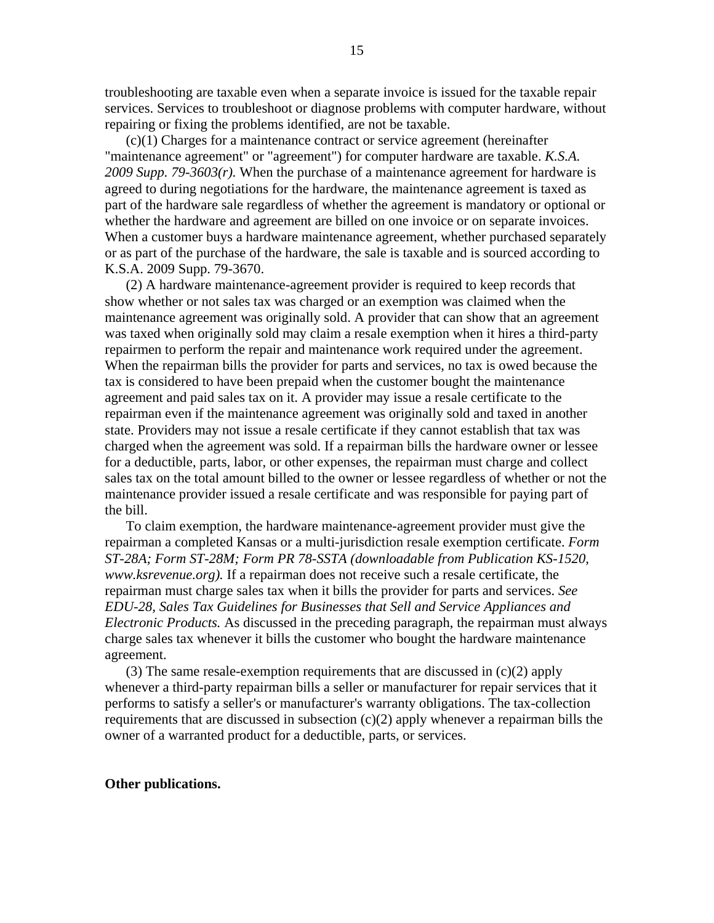troubleshooting are taxable even when a separate invoice is issued for the taxable repair services. Services to troubleshoot or diagnose problems with computer hardware, without repairing or fixing the problems identified, are not be taxable.

(c)(1) Charges for a maintenance contract or service agreement (hereinafter "maintenance agreement" or "agreement") for computer hardware are taxable. *K.S.A. 2009 Supp. 79-3603(r).* When the purchase of a maintenance agreement for hardware is agreed to during negotiations for the hardware, the maintenance agreement is taxed as part of the hardware sale regardless of whether the agreement is mandatory or optional or whether the hardware and agreement are billed on one invoice or on separate invoices. When a customer buys a hardware maintenance agreement, whether purchased separately or as part of the purchase of the hardware, the sale is taxable and is sourced according to K.S.A. 2009 Supp. 79-3670.

(2) A hardware maintenance-agreement provider is required to keep records that show whether or not sales tax was charged or an exemption was claimed when the maintenance agreement was originally sold. A provider that can show that an agreement was taxed when originally sold may claim a resale exemption when it hires a third-party repairmen to perform the repair and maintenance work required under the agreement. When the repairman bills the provider for parts and services, no tax is owed because the tax is considered to have been prepaid when the customer bought the maintenance agreement and paid sales tax on it. A provider may issue a resale certificate to the repairman even if the maintenance agreement was originally sold and taxed in another state. Providers may not issue a resale certificate if they cannot establish that tax was charged when the agreement was sold. If a repairman bills the hardware owner or lessee for a deductible, parts, labor, or other expenses, the repairman must charge and collect sales tax on the total amount billed to the owner or lessee regardless of whether or not the maintenance provider issued a resale certificate and was responsible for paying part of the bill.

To claim exemption, the hardware maintenance-agreement provider must give the repairman a completed Kansas or a multi-jurisdiction resale exemption certificate. *Form ST-28A; Form ST-28M; Form PR 78-SSTA (downloadable from Publication KS-1520, www.ksrevenue.org).* If a repairman does not receive such a resale certificate, the repairman must charge sales tax when it bills the provider for parts and services. *See EDU-28, Sales Tax Guidelines for Businesses that Sell and Service Appliances and Electronic Products.* As discussed in the preceding paragraph, the repairman must always charge sales tax whenever it bills the customer who bought the hardware maintenance agreement.

(3) The same resale-exemption requirements that are discussed in  $(c)(2)$  apply whenever a third-party repairman bills a seller or manufacturer for repair services that it performs to satisfy a seller's or manufacturer's warranty obligations. The tax-collection requirements that are discussed in subsection (c)(2) apply whenever a repairman bills the owner of a warranted product for a deductible, parts, or services.

#### **Other publications.**